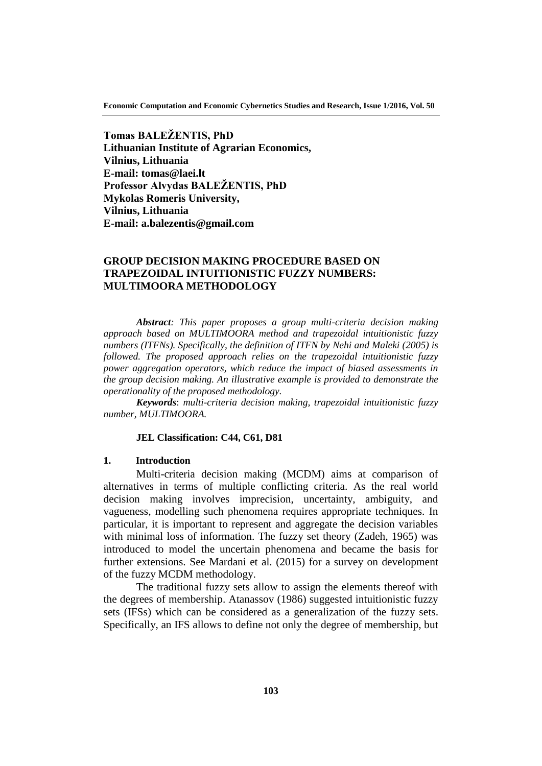**Economic Computation and Economic Cybernetics Studies and Research, Issue 1/2016, Vol. 50**

**Tomas BALEŽENTIS, PhD Lithuanian Institute of Agrarian Economics, Vilnius, Lithuania E-mail: tomas@laei.lt Professor Alvydas BALEŽENTIS, PhD Mykolas Romeris University, Vilnius, Lithuania E-mail: a.balezentis@gmail.com**

# **GROUP DECISION MAKING PROCEDURE BASED ON TRAPEZOIDAL INTUITIONISTIC FUZZY NUMBERS: MULTIMOORA METHODOLOGY**

*Abstract: This paper proposes a group multi-criteria decision making approach based on MULTIMOORA method and trapezoidal intuitionistic fuzzy numbers (ITFNs). Specifically, the definition of ITFN by Nehi and Maleki (2005) is followed. The proposed approach relies on the trapezoidal intuitionistic fuzzy power aggregation operators, which reduce the impact of biased assessments in the group decision making. An illustrative example is provided to demonstrate the operationality of the proposed methodology.*

*Keywords*: *multi-criteria decision making, trapezoidal intuitionistic fuzzy number, MULTIMOORA.*

## **JEL Classification: C44, C61, D81**

## **1. Introduction**

Multi-criteria decision making (MCDM) aims at comparison of alternatives in terms of multiple conflicting criteria. As the real world decision making involves imprecision, uncertainty, ambiguity, and vagueness, modelling such phenomena requires appropriate techniques. In particular, it is important to represent and aggregate the decision variables with minimal loss of information. The fuzzy set theory (Zadeh, 1965) was introduced to model the uncertain phenomena and became the basis for further extensions. See Mardani et al. (2015) for a survey on development of the fuzzy MCDM methodology.

The traditional fuzzy sets allow to assign the elements thereof with the degrees of membership. Atanassov (1986) suggested intuitionistic fuzzy sets (IFSs) which can be considered as a generalization of the fuzzy sets. Specifically, an IFS allows to define not only the degree of membership, but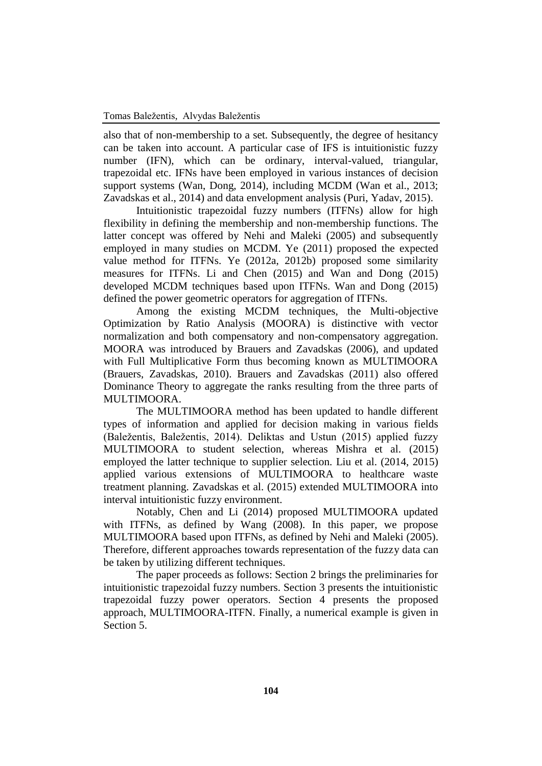also that of non-membership to a set. Subsequently, the degree of hesitancy can be taken into account. A particular case of IFS is intuitionistic fuzzy number (IFN), which can be ordinary, interval-valued, triangular, trapezoidal etc. IFNs have been employed in various instances of decision support systems (Wan, Dong, 2014), including MCDM (Wan et al., 2013; Zavadskas et al., 2014) and data envelopment analysis (Puri, Yadav, 2015).

Intuitionistic trapezoidal fuzzy numbers (ITFNs) allow for high flexibility in defining the membership and non-membership functions. The latter concept was offered by Nehi and Maleki (2005) and subsequently employed in many studies on MCDM. Ye (2011) proposed the expected value method for ITFNs. Ye (2012a, 2012b) proposed some similarity measures for ITFNs. Li and Chen (2015) and Wan and Dong (2015) developed MCDM techniques based upon ITFNs. Wan and Dong (2015) defined the power geometric operators for aggregation of ITFNs.

Among the existing MCDM techniques, the Multi-objective Optimization by Ratio Analysis (MOORA) is distinctive with vector normalization and both compensatory and non-compensatory aggregation. MOORA was introduced by Brauers and Zavadskas (2006), and updated with Full Multiplicative Form thus becoming known as MULTIMOORA (Brauers, Zavadskas, 2010). Brauers and Zavadskas (2011) also offered Dominance Theory to aggregate the ranks resulting from the three parts of MULTIMOORA.

The MULTIMOORA method has been updated to handle different types of information and applied for decision making in various fields (Baležentis, Baležentis, 2014). Deliktas and Ustun (2015) applied fuzzy MULTIMOORA to student selection, whereas Mishra et al. (2015) employed the latter technique to supplier selection. Liu et al. (2014, 2015) applied various extensions of MULTIMOORA to healthcare waste treatment planning. Zavadskas et al. (2015) extended MULTIMOORA into interval intuitionistic fuzzy environment.

Notably, Chen and Li (2014) proposed MULTIMOORA updated with ITFNs, as defined by Wang (2008). In this paper, we propose MULTIMOORA based upon ITFNs, as defined by Nehi and Maleki (2005). Therefore, different approaches towards representation of the fuzzy data can be taken by utilizing different techniques.

The paper proceeds as follows: Section 2 brings the preliminaries for intuitionistic trapezoidal fuzzy numbers. Section 3 presents the intuitionistic trapezoidal fuzzy power operators. Section 4 presents the proposed approach, MULTIMOORA-ITFN. Finally, a numerical example is given in Section 5.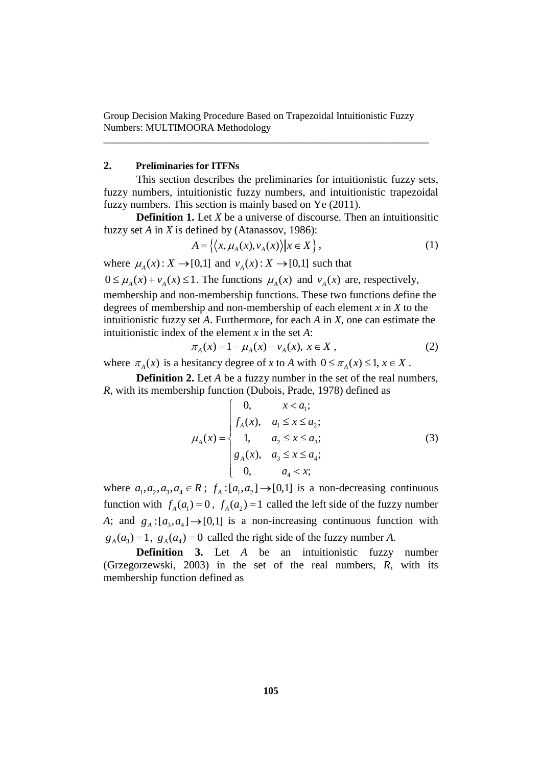\_\_\_\_\_\_\_\_\_\_\_\_\_\_\_\_\_\_\_\_\_\_\_\_\_\_\_\_\_\_\_\_\_\_\_\_\_\_\_\_\_\_\_\_\_\_\_\_\_\_\_\_\_\_\_\_\_\_\_\_\_\_\_\_\_

# **2. Preliminaries for ITFNs**

This section describes the preliminaries for intuitionistic fuzzy sets, fuzzy numbers, intuitionistic fuzzy numbers, and intuitionistic trapezoidal fuzzy numbers. This section is mainly based on Ye (2011).

**Definition 1.** Let *X* be a universe of discourse. Then an intuitionsitic fuzzy set *A* in *X* is defined by (Atanassov, 1986):

$$
A = \left\{ \left\langle x, \mu_A(x), v_A(x) \right\rangle | x \in X \right\},\tag{1}
$$

where  $\mu_A(x)$ :  $X \to [0,1]$  and  $\nu_A(x)$ :  $X \to [0,1]$  such that

 $0 \le \mu_A(x) + v_A(x) \le 1$ . The functions  $\mu_A(x)$  and  $v_A(x)$  are, respectively,

membership and non-membership functions. These two functions define the degrees of membership and non-membership of each element *x* in *X* to the intuitionistic fuzzy set *A*. Furthermore, for each *A* in *X*, one can estimate the

intuitionistic index of the element x in the set A:  
\n
$$
\pi_A(x) = 1 - \mu_A(x) - \nu_A(x), x \in X,
$$
\n(2)

where  $\pi_A(x)$  is a hesitancy degree of *x* to *A* with  $0 \le \pi_A(x) \le 1, x \in X$ .

**Definition 2.** Let *A* be a fuzzy number in the set of the real numbers, *R*, with its membership function (Dubois, Prade, 1978) defined as  $\begin{bmatrix} 0, & x < a_1; \end{bmatrix}$ 

$$
\mu_A(x) = \begin{cases}\n0, & x < a_1; \\
f_A(x), & a_1 \le x \le a_2; \\
1, & a_2 \le x \le a_3; \\
g_A(x), & a_3 \le x \le a_4; \\
0, & a_4 < x;\n\end{cases}
$$
\n(3)

where  $a_1, a_2, a_3, a_4 \in \mathbb{R}$ ;  $f_A: [a_1, a_2] \rightarrow [0,1]$  is a non-decreasing continuous function with  $f_A(a_1) = 0$ ,  $f_A(a_2) = 1$  called the left side of the fuzzy number A; and  $g_A: [a_3, a_4] \rightarrow [0,1]$  is a non-increasing continuous function with  $g_A(a_3) = 1$ ,  $g_A(a_4) = 0$  called the right side of the fuzzy number *A*.

**Definition 3.** Let *A* be an intuitionistic fuzzy number (Grzegorzewski, 2003) in the set of the real numbers, *R*, with its membership function defined as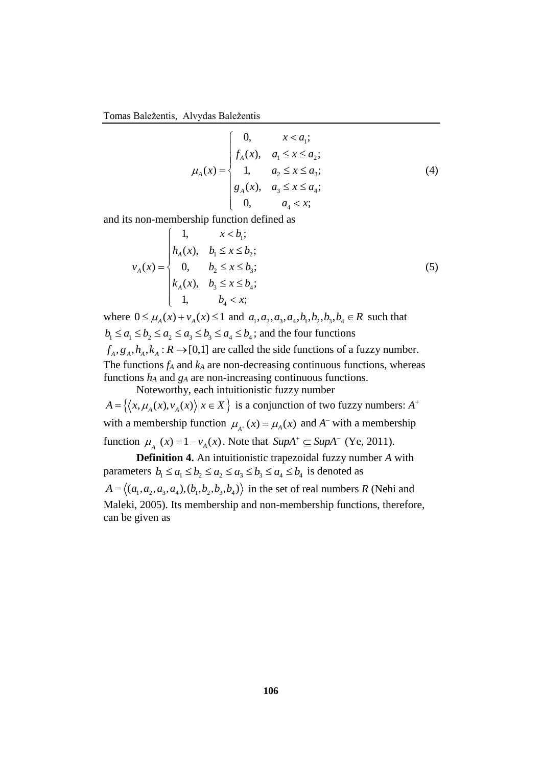Tomas Baležentis, Alvydas Baležentis

$$
\mu_A(x) = \begin{cases}\n0, & x < a_1; \\
f_A(x), & a_1 \le x \le a_2; \\
1, & a_2 \le x \le a_3; \\
g_A(x), & a_3 \le x \le a_4; \\
0, & a_4 < x;\n\end{cases}
$$
\n(4)

and its non-membership function defined as<br>  $\begin{cases} 1, & x < b_i; \end{cases}$ 

$$
v_A(x) = \begin{cases} 1, & x < b_1; \\ h_A(x), & b_1 \le x \le b_2; \\ 0, & b_2 \le x \le b_3; \\ k_A(x), & b_3 \le x \le b_4; \\ 1, & b_4 < x; \end{cases} \tag{5}
$$

where  $0 \le \mu_A(x) + v_A(x) \le 1$  and  $a_1, a_2, a_3, a_4, b_1, b_2, b_3, b_4 \in R$  such that where  $0 \le \mu_A(x) + \nu_A(x) \le 1$  and  $a_1, a_2, a_3, a_4, b_1, b_2, b_3, b_4 \in B_1$ <br>  $b_1 \le a_1 \le b_2 \le a_2 \le a_3 \le b_3 \le a_4 \le b_4$ ; and the four functions  $f_A, g_A, h_A, k_A : R \rightarrow [0,1]$  are called the side functions of a fuzzy number. The functions  $f_A$  and  $k_A$  are non-decreasing continuous functions, whereas functions *h<sup>A</sup>* and *g<sup>A</sup>* are non-increasing continuous functions.

Noteworthy, each intuitionistic fuzzy number *A* = { $\langle x, \mu_A(x), v_A(x) \rangle | x \in X$ } is a conjunction of two fuzzy numbers: *A*<sup>+</sup> with a membership function  $\mu_{A^+}(x) = \mu_A(x)$  and  $A^-$  with a membership function  $\mu_{A^{-}}(x) = 1 - v_{A}(x)$ . Note that  $\text{SupA}^{+} \subseteq \text{SupA}^{-}$  (Ye, 2011).

**Definition 4.** An intuitionistic trapezoidal fuzzy number *A* with **Definition 4.** An intuitionistic trapezoidal fuzzy num<br>parameters  $b_1 \le a_1 \le b_2 \le a_2 \le a_3 \le b_3 \le a_4 \le b_4$  is denoted as  $A = \langle (a_1, a_2, a_3, a_4), (b_1, b_2, b_3, b_4) \rangle$  in the set of real numbers *R* (Nehi and Maleki, 2005). Its membership and non-membership functions, therefore, can be given as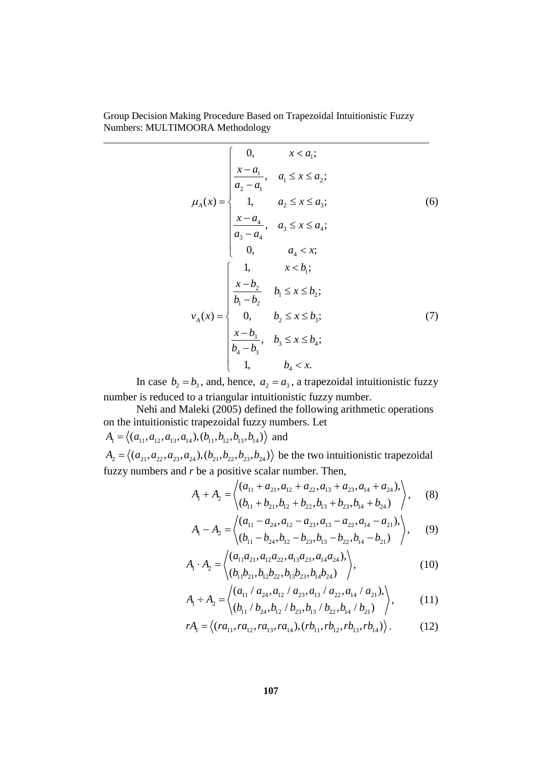$$
\mu_{A}(x) = \begin{cases}\n0, & x < a_{1}; \\
\frac{x-a_{1}}{a_{2}-a_{1}}, & a_{1} \leq x \leq a_{2}; \\
1, & a_{2} \leq x \leq a_{3}; \\
\frac{x-a_{4}}{a_{3}-a_{4}}, & a_{3} \leq x \leq a_{4}; \\
0, & a_{4} < x; \\
1, & x < b_{1}; \\
\frac{x-b_{2}}{b_{1}-b_{2}}, & b_{1} \leq x \leq b_{2}; \\
b_{1}-b_{2} & 0, & b_{2} \leq x \leq b_{3}; \\
\frac{x-b_{3}}{b_{4}-b_{3}}, & b_{3} \leq x \leq b_{4}; \\
1, & b_{4} < x.\n\end{cases}
$$
\n(7)

In case  $b_2 = b_3$ , and, hence,  $a_2 = a_3$ , a trapezoidal intuitionistic fuzzy number is reduced to a triangular intuitionistic fuzzy number.

Nehi and Maleki (2005) defined the following arithmetic operations on the intuitionistic trapezoidal fuzzy numbers. Let on the intuitionistic trapezoidal fuzzy numl<br> $A_1 = \langle (a_{11}, a_{12}, a_{13}, a_{14}), (b_{11}, b_{12}, b_{13}, b_{14}) \rangle$  and

 $A_1 = \langle (a_{11}, a_{12}, a_{13}, a_{14}), (b_{11}, b_{12}, b_{13}, b_{14}) \rangle$  and<br>  $A_2 = \langle (a_{21}, a_{22}, a_{23}, a_{24}), (b_{21}, b_{22}, b_{23}, b_{24}) \rangle$  be the two intuitionistic trapezoidal fuzzy numbers and *r* be a positive scalar number. Then,<br>  $A + A = \begin{pmatrix} (a_{11} + a_{21}, a_{12} + a_{22}, a_{13} + a_{23}, a_{14} + a_{24})$ scalar number. Then,<br>+  $a_{21}, a_{12} + a_{22}, a_{13} + a_{23}, a_{14} + a_{24}$ ),

r be a positive scalar number. Then,  
\n
$$
A_1 + A_2 = \begin{cases} (a_{11} + a_{21}, a_{12} + a_{22}, a_{13} + a_{23}, a_{14} + a_{24}), \\ (b_{11} + b_{21}, b_{12} + b_{22}, b_{13} + b_{23}, b_{14} + b_{24}) \end{cases}
$$
\n
$$
A_1 - A_2 = \begin{cases} (a_{11} - a_{24}, a_{12} - a_{23}, a_{13} - a_{22}, a_{14} - a_{21}), \\ 0, 0, 1, 1, 1 \end{cases}
$$

$$
\langle (b_{11} + b_{21}, b_{12} + b_{22}, b_{13} + b_{23}, b_{14} + b_{24}) \rangle
$$
\n
$$
A_1 - A_2 = \begin{pmatrix} (a_{11} - a_{24}, a_{12} - a_{23}, a_{13} - a_{22}, a_{14} - a_{21}), \\ (b_{11} - b_{24}, b_{12} - b_{23}, b_{13} - b_{22}, b_{14} - b_{21}) \end{pmatrix}, \quad (9)
$$
\n
$$
A_1 \cdot A_2 = \begin{pmatrix} (a_{11}a_{21}, a_{12}a_{22}, a_{13}a_{23}, a_{14}a_{24}), \\ (10) & (11) \end{pmatrix}
$$

$$
A_1 \cdot A_2 = \begin{cases} (a_{11}a_{21}, a_{12}a_{22}, a_{13}a_{23}, a_{14}a_{24}), \\ (b_{11}b_{21}, b_{12}b_{22}, b_{13}b_{23}, b_{14}b_{24}) \end{cases}
$$
 (10)

$$
\langle (b_{11}b_{21}, b_{12}b_{22}, b_{13}b_{23}, b_{14}b_{24}) \rangle
$$
  
\n
$$
A_1 \div A_2 = \langle (a_{11} / a_{24}, a_{12} / a_{23}, a_{13} / a_{22}, a_{14} / a_{21}), \rangle
$$
  
\n
$$
\langle (b_{11} / b_{24}, b_{12} / b_{23}, b_{13} / b_{22}, b_{14} / b_{21}) \rangle
$$
  
\n
$$
\langle (11)
$$

$$
\langle (b_{11} / b_{24}, b_{12} / b_{23}, b_{13} / b_{22}, b_{14} / b_{21}) \rangle
$$
  
\n
$$
rA_1 = \langle (ra_{11}, ra_{12}, ra_{13}, ra_{14}), (rb_{11}, rb_{12}, rb_{13}, rb_{14}) \rangle.
$$
 (12)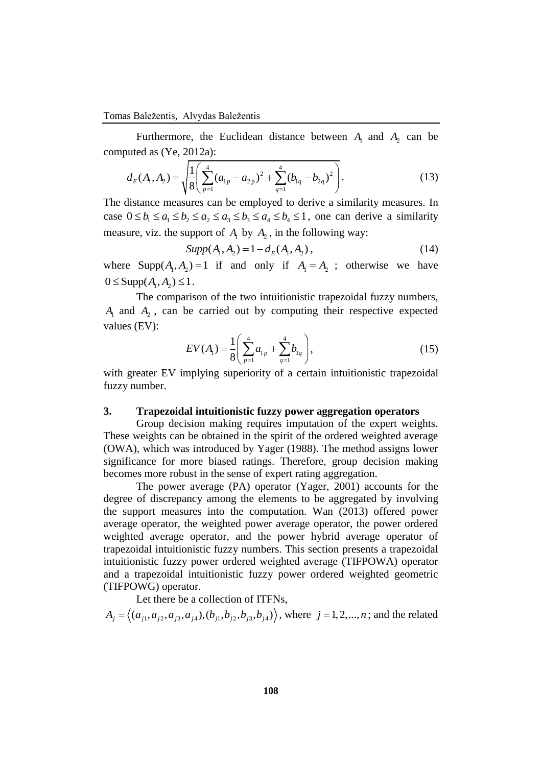Furthermore, the Euclidean distance between  $A_1$  and  $A_2$  can be computed as (Ye, 2012a):

vuted as (Ye, 2012a):  
\n
$$
d_E(A_1, A_2) = \sqrt{\frac{1}{8} \left( \sum_{p=1}^4 (a_{1p} - a_{2p})^2 + \sum_{q=1}^4 (b_{1q} - b_{2q})^2 \right)}.
$$
\n(13)

The distance measures can be employed to derive a similarity measures. In The distance measures can be employed to derive a similarity measures. In case  $0 \le b_1 \le a_1 \le b_2 \le a_2 \le a_3 \le b_3 \le a_4 \le b_4 \le 1$ , one can derive a similarity measure, viz. the support of  $A_1$  by  $A_2$ , in the following way:

 $Supp(A_1, A_2) = 1 - d_E(A_1, A_2),$  (14)

where  $\text{Supp}(A_1, A_2) = 1$  if and only if  $A_1 = A_2$ ; otherwise we have  $0 \leq$  Supp $(A_1, A_2) \leq 1$ .

The comparison of the two intuitionistic trapezoidal fuzzy numbers,  $A_1$  and  $A_2$ , can be carried out by computing their respective expected values (EV):

$$
EV(A_1) = \frac{1}{8} \left( \sum_{p=1}^{4} a_{1p} + \sum_{q=1}^{4} b_{1q} \right),
$$
 (15)

with greater EV implying superiority of a certain intuitionistic trapezoidal fuzzy number.

## **3. Trapezoidal intuitionistic fuzzy power aggregation operators**

Group decision making requires imputation of the expert weights. These weights can be obtained in the spirit of the ordered weighted average (OWA), which was introduced by Yager (1988). The method assigns lower significance for more biased ratings. Therefore, group decision making becomes more robust in the sense of expert rating aggregation.

The power average (PA) operator (Yager, 2001) accounts for the degree of discrepancy among the elements to be aggregated by involving the support measures into the computation. Wan (2013) offered power average operator, the weighted power average operator, the power ordered weighted average operator, and the power hybrid average operator of trapezoidal intuitionistic fuzzy numbers. This section presents a trapezoidal intuitionistic fuzzy power ordered weighted average (TIFPOWA) operator and a trapezoidal intuitionistic fuzzy power ordered weighted geometric (TIFPOWG) operator.

Let there be a collection of ITFNs,  

$$
A_j = \langle (a_{j1}, a_{j2}, a_{j3}, a_{j4}), (b_{j1}, b_{j2}, b_{j3}, b_{j4}) \rangle, \text{ where } j = 1, 2, ..., n; \text{ and the related}
$$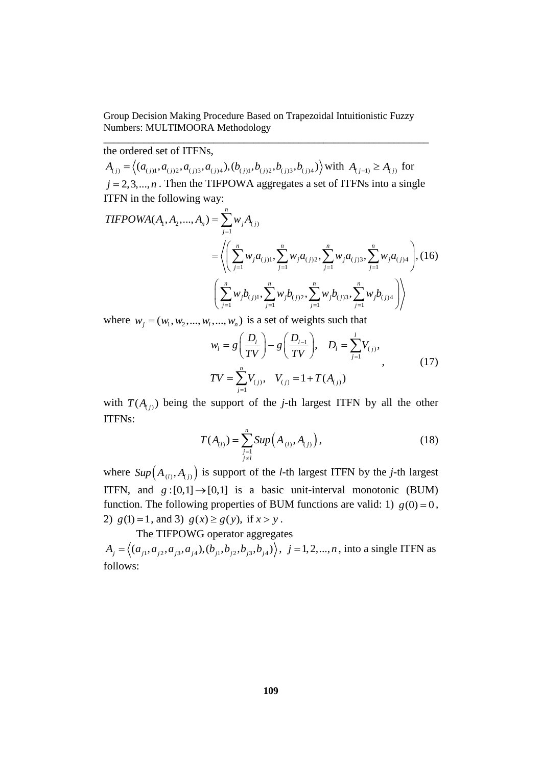\_\_\_\_\_\_\_\_\_\_\_\_\_\_\_\_\_\_\_\_\_\_\_\_\_\_\_\_\_\_\_\_\_\_\_\_\_\_\_\_\_\_\_\_\_\_\_\_\_\_\_\_\_\_\_\_\_\_\_\_\_\_\_\_\_

the ordered set of ITFNs,

he ordered set of ITFNs,<br>  $A_{(j)} = \left\langle (a_{(j)1}, a_{(j)2}, a_{(j)3}, a_{(j)4}), (b_{(j)1}, b_{(j)2}, b_{(j)3}, b_{(j)4}) \right\rangle$  with  $A_{(j-1)} \ge A_{(j)}$  for  $j = 2, 3, \dots, n$ . Then the TIFPOWA aggregates a set of ITFNs into a single ITFN in the following way:  $j = 2, 3, ..., n$ . Then the TIFPOWA<br>ITFN in the following way:<br>*TIFPOWA*  $(A_1, A_2, ..., A_n) = \sum_{i=1}^{n} w_i A_i$ 

**THEPOWA**
$$
(A_1, A_2,..., A_n)
$$
 =  $\sum_{j=1}^n w_j A_{(j)}$   
\n=  $\left\langle \left( \sum_{j=1}^n w_j a_{(j)1}, \sum_{j=1}^n w_j a_{(j)2}, \sum_{j=1}^n w_j a_{(j)3}, \sum_{j=1}^n w_j a_{(j)4} \right), (16) \right\rangle$   
\n $\left( \sum_{j=1}^n w_j b_{(j)1}, \sum_{j=1}^n w_j b_{(j)2}, \sum_{j=1}^n w_j b_{(j)3}, \sum_{j=1}^n w_j b_{(j)4} \right) \right\rangle$ 

where 
$$
w_j = (w_1, w_2, ..., w_l, ..., w_n)
$$
 is a set of weights such that  
\n
$$
w_l = g\left(\frac{D_l}{TV}\right) - g\left(\frac{D_{l-1}}{TV}\right), \quad D_l = \sum_{j=1}^{l} V_{(j)},
$$
\n
$$
TV = \sum_{j=1}^{n} V_{(j)}, \quad V_{(j)} = 1 + T(A_{(j)})
$$
\n(17)

with  $T(A_{(j)})$  being the support of the *j*-th largest ITFN by all the other ITFNs:

$$
T(A_{(l)}) = \sum_{\substack{j=1\\j\neq l}}^{n} Sup(A_{(l)}, A_{(j)}),
$$
\n(18)

where  $Sup(A_{(l)}, A_{(j)})$  is support of the *l*-th largest ITFN by the *j*-th largest ITFN, and  $g:[0,1] \rightarrow [0,1]$  is a basic unit-interval monotonic (BUM) function. The following properties of BUM functions are valid: 1)  $g(0) = 0$ , 2)  $g(1) = 1$ , and 3)  $g(x) \ge g(y)$ , if  $x > y$ .

The TIFPOWG operator aggregates

The TIFPOWG operator aggregates<br>  $A_j = \langle (a_{j1}, a_{j2}, a_{j3}, a_{j4}), (b_{j1}, b_{j2}, b_{j3}, b_{j4}) \rangle, j = 1, 2, ..., n$ , into a single ITFN as follows: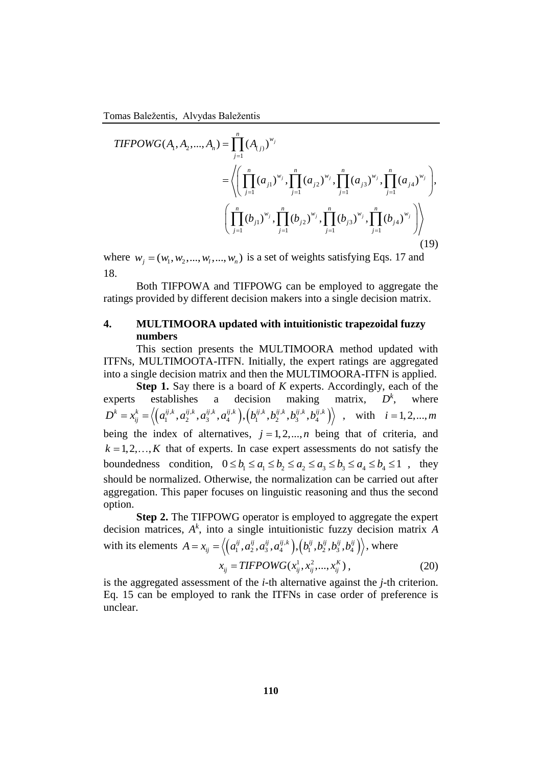Tomas Baležentis, Alvydas Baležentis

omas Baležentis, Alvydas Baležentis  
\n
$$
TIFPOWG(A_1, A_2, ..., A_n) = \prod_{j=1}^n (A_{(j)})^{w_j}
$$
\n
$$
= \left\langle \left( \prod_{j=1}^n (a_{j1})^{w_j}, \prod_{j=1}^n (a_{j2})^{w_j}, \prod_{j=1}^n (a_{j3})^{w_j}, \prod_{j=1}^n (a_{j4})^{w_j} \right), \left( \prod_{j=1}^n (b_{j1})^{w_j}, \prod_{j=1}^n (b_{j2})^{w_j}, \prod_{j=1}^n (b_{j3})^{w_j}, \prod_{j=1}^n (b_{j4})^{w_j} \right) \right\rangle
$$
\n(19)

where  $w_j = (w_1, w_2, ..., w_i, ..., w_n)$  is a set of weights satisfying Eqs. 17 and 18.

Both TIFPOWA and TIFPOWG can be employed to aggregate the ratings provided by different decision makers into a single decision matrix.

# **4. MULTIMOORA updated with intuitionistic trapezoidal fuzzy numbers**

This section presents the MULTIMOORA method updated with ITFNs, MULTIMOOTA-ITFN. Initially, the expert ratings are aggregated into a single decision matrix and then the MULTIMOORA-ITFN is applied.

**Step 1.** Say there is a board of *K* experts. Accordingly, each of the experts establishes a decision making matrix,  $D^k$ , where stablishes a decision making<br>  $\left(a_1^{ij,k}, a_2^{ij,k}, a_3^{ij,k}, a_4^{ij,k}\right), \left(b_1^{ij,k}, b_2^{ij,k}, b_3^{ij,k}, b_4^{ij,k}\right)$ **Experts** establishes a decision making matrix,  $D^k$ , where  $D^k = x_{ij}^k = \left\langle \left( a_1^{ij,k}, a_2^{ij,k}, a_3^{ij,k}, a_4^{ij,k} \right), \left( b_1^{ij,k}, b_2^{ij,k}, b_3^{ij,k}, b_4^{ij,k} \right) \right\rangle$ , with  $i = 1, 2, ..., m$ being the index of alternatives,  $j = 1, 2, \dots, n$  being that of criteria, and  $k = 1, 2, \ldots, K$  that of experts. In case expert assessments do not satisfy the  $k = 1, 2, ..., K$  that of experts. In case expert assessments do not satisfy the boundedness condition,  $0 \le b_1 \le a_1 \le b_2 \le a_2 \le a_3 \le b_3 \le a_4 \le b_4 \le 1$ , they should be normalized. Otherwise, the normalization can be carried out after aggregation. This paper focuses on linguistic reasoning and thus the second option.

**Step 2.** The TIFPOWG operator is employed to aggregate the expert decision matrices, *A k* , into a single intuitionistic fuzzy decision matrix *A* with its elements  $A = x_{ij} = \langle (a_1^{ij}, a_2^{ij}, a_3^{ij}, a_4^{ij,k}), (b_1^{ij}, b_2^{ij}, b_3^{ij}, b_4^{ij}) \rangle$ *A*<sup>k</sup>, into a single intuitionistic fuzzy decision  $A = x_{ij} = \langle (a_1^{ij}, a_2^{ij}, a_3^{ij}, a_4^{ij,k}) , (b_1^{ij}, b_2^{ij}, b_3^{ij}, b_4^{ij}) \rangle$ , where

$$
x_{ij} = TIFPOWG(x_{ij}^1, x_{ij}^2, ..., x_{ij}^K),
$$
 (20)

is the aggregated assessment of the *i*-th alternative against the *j*-th criterion. Eq. 15 can be employed to rank the ITFNs in case order of preference is unclear.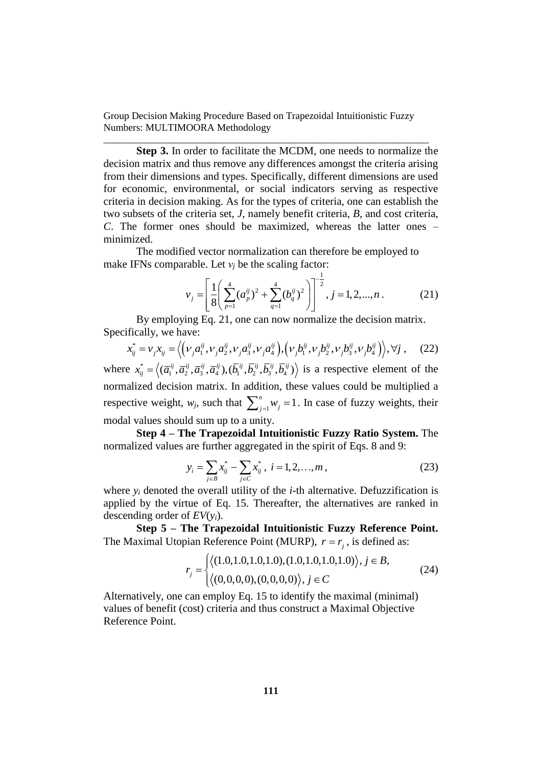\_\_\_\_\_\_\_\_\_\_\_\_\_\_\_\_\_\_\_\_\_\_\_\_\_\_\_\_\_\_\_\_\_\_\_\_\_\_\_\_\_\_\_\_\_\_\_\_\_\_\_\_\_\_\_\_\_\_\_\_\_\_\_\_\_

**Step 3.** In order to facilitate the MCDM, one needs to normalize the decision matrix and thus remove any differences amongst the criteria arising from their dimensions and types. Specifically, different dimensions are used for economic, environmental, or social indicators serving as respective criteria in decision making. As for the types of criteria, one can establish the two subsets of the criteria set, *J*, namely benefit criteria, *B*, and cost criteria, *C*. The former ones should be maximized, whereas the latter ones – minimized.

The modified vector normalization can therefore be employed to

make IFNs comparable. Let 
$$
v_j
$$
 be the scaling factor:  
\n
$$
v_j = \left[ \frac{1}{8} \left( \sum_{p=1}^{4} (a_p^{ij})^2 + \sum_{q=1}^{4} (b_q^{ij})^2 \right) \right]^{-\frac{1}{2}}, j = 1, 2, ..., n.
$$
\n(21)

By employing Eq. 21, one can now normalize the decision matrix.<br>
fically, we have:<br>  $x_{ij}^* = v_j x_{ij} = \left\langle \left( v_j a_1^{ij}, v_j a_2^{ij}, v_j a_3^{ij}, v_j a_4^{ij} \right), \left( v_j b_1^{ij}, v_j b_2^{ij}, v_j b_3^{ij}, v_j b_4^{ij} \right) \right\rangle, \forall j$ , (22) Specifically, we have: *i*<br>*i*,  $V$ , $a_2^{ij}$ ,  $V$ , $a_2^{ij}$ ,  $V$ , $a_3^{ij}$   $\}$ ,  $\left(V$ , $b_1^{ij}$ ,  $V$ , $b_2^{ij}$ ,  $V$ , $b_3^{ij}$ ,  $V$ , $b_4^{ij}$ 

$$
x_{ij}^* = v_j x_{ij} = \left\langle \left(\nu_j a_1^{ij}, \nu_j a_2^{ij}, \nu_j a_3^{ij}, \nu_j a_4^{ij}\right), \left(\nu_j b_1^{ij}, \nu_j b_2^{ij}, \nu_j b_3^{ij}, \nu_j b_4^{ij}\right)\right\rangle, \forall j \,, \quad (22)
$$

where  $x_{ii}^*$  $x_{ij}^* = \langle (\bar{a}_1^{ij}, \bar{a}_2^{ij}, \bar{a}_3^{ij}, \bar{a}_4^{ij}), (\bar{b}_1^{ij}, \bar{b}_2^{ij}, \bar{b}_3^{ij}, \bar{b}_4^{ij}) \rangle$  is a respective element of the normalized decision matrix. In addition, these values could be multiplied a respective weight,  $w_j$ , such that  $\sum_{j=1}^n w_j = 1$  $\sum_{j=1}^{n} w_j = 1$ . In case of fuzzy weights, their modal values should sum up to a unity.

**Step 4 – The Trapezoidal Intuitionistic Fuzzy Ratio System.** The normalized values are further aggregated in the spirit of Eqs. 8 and 9:

$$
y_i = \sum_{j \in B} x_{ij}^* - \sum_{j \in C} x_{ij}^*, \ i = 1, 2, ..., m,
$$
 (23)

where  $y_i$  denoted the overall utility of the *i*-th alternative. Defuzzification is applied by the virtue of Eq. 15. Thereafter, the alternatives are ranked in descending order of *EV*(*yi*).

**Step 5 – The Trapezoidal Intuitionistic Fuzzy Reference Point.** 

The Maximal Utopian Reference Point (MURP), 
$$
r = r_j
$$
, is defined as:  
\n
$$
r_j = \begin{cases} \langle (1.0, 1.0, 1.0, 1.0), (1.0, 1.0, 1.0, 1.0) \rangle, j \in B, \\ \langle (0, 0, 0, 0), (0, 0, 0, 0) \rangle, j \in C \end{cases}
$$
\n(24)

Alternatively, one can employ Eq. 15 to identify the maximal (minimal) values of benefit (cost) criteria and thus construct a Maximal Objective Reference Point.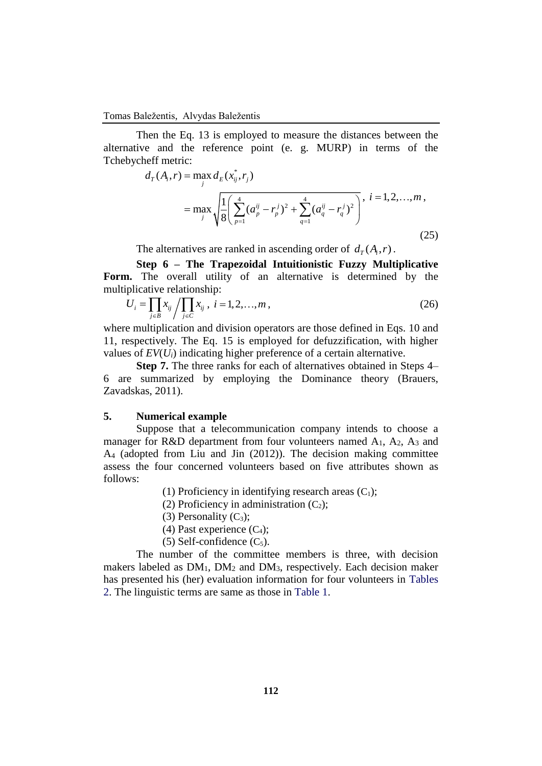#### Tomas Baležentis, Alvydas Baležentis

Then the Eq. 13 is employed to measure the distances between the alternative and the reference point (e. g. MURP) in terms of the Tchebycheff metric:<br>  $d_T(A_i, r) = \max_i d_E(x_{ij}^*, r_j)$ 

$$
d_{T}(A_{i}, r) = \max_{j} d_{E}(x_{ij}^{*}, r_{j})
$$
  
= 
$$
\max_{j} \sqrt{\frac{1}{8} \left( \sum_{p=1}^{4} (a_{p}^{ij} - r_{p}^{j})^{2} + \sum_{q=1}^{4} (a_{q}^{ij} - r_{q}^{j})^{2} \right)}, i = 1, 2, ..., m,
$$
 (25)

The alternatives are ranked in ascending order of  $d_T(A_i, r)$ .

**Step 6 – The Trapezoidal Intuitionistic Fuzzy Multiplicative**  Form. The overall utility of an alternative is determined by the multiplicative relationship:

$$
U_i = \prod_{j \in B} x_{ij} / \prod_{j \in C} x_{ij}, \ i = 1, 2, ..., m,
$$
 (26)

where multiplication and division operators are those defined in Eqs. 10 and 11, respectively. The Eq. 15 is employed for defuzzification, with higher values of *EV*(*Ui*) indicating higher preference of a certain alternative.

**Step 7.** The three ranks for each of alternatives obtained in Steps 4– 6 are summarized by employing the Dominance theory (Brauers, Zavadskas, 2011).

## **5. Numerical example**

Suppose that a telecommunication company intends to choose a manager for R&D department from four volunteers named  $A_1$ ,  $A_2$ ,  $A_3$  and A<sup>4</sup> (adopted from Liu and Jin (2012)). The decision making committee assess the four concerned volunteers based on five attributes shown as follows:

- (1) Proficiency in identifying research areas  $(C_1)$ ;
- (2) Proficiency in administration  $(C_2)$ ;
- (3) Personality  $(C_3)$ ;
- (4) Past experience  $(C_4)$ ;
- $(5)$  Self-confidence  $(C_5)$ .

The number of the committee members is three, with decision makers labeled as DM1, DM<sup>2</sup> and DM3, respectively. Each decision maker has presented his (her) evaluation information for four volunteers in Tables 2. The linguistic terms are same as those in Table 1.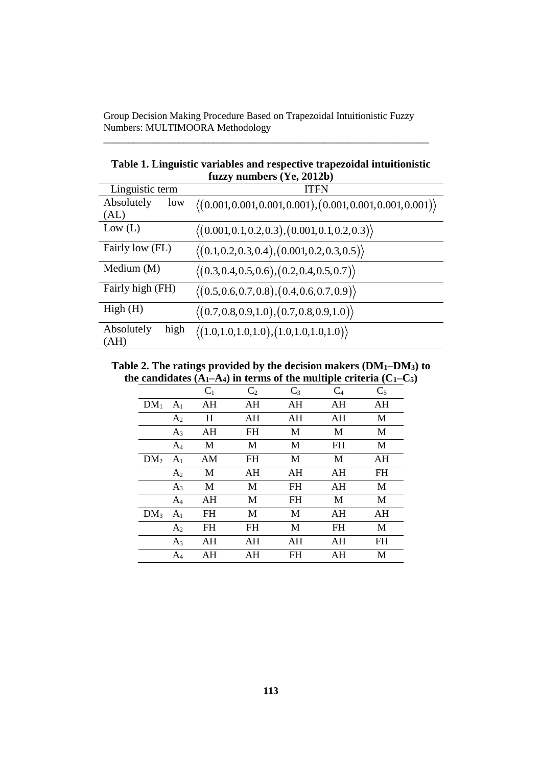\_\_\_\_\_\_\_\_\_\_\_\_\_\_\_\_\_\_\_\_\_\_\_\_\_\_\_\_\_\_\_\_\_\_\_\_\_\_\_\_\_\_\_\_\_\_\_\_\_\_\_\_\_\_\_\_\_\_\_\_\_\_\_\_\_

| fuzzy numbers (Ye, 2012b) |                                                                              |  |  |
|---------------------------|------------------------------------------------------------------------------|--|--|
| Linguistic term           | <b>ITFN</b>                                                                  |  |  |
| Absolutely<br>low         | $\langle (0.001, 0.001, 0.001, 0.001), (0.001, 0.001, 0.001, 0.001) \rangle$ |  |  |
| (AL)                      |                                                                              |  |  |
| Low (L)                   | $\langle (0.001, 0.1, 0.2, 0.3), (0.001, 0.1, 0.2, 0.3) \rangle$             |  |  |
| Fairly low (FL)           | $\langle (0.1, 0.2, 0.3, 0.4), (0.001, 0.2, 0.3, 0.5) \rangle$               |  |  |
| Medium $(M)$              | $\langle (0.3, 0.4, 0.5, 0.6), (0.2, 0.4, 0.5, 0.7) \rangle$                 |  |  |
| Fairly high (FH)          | $\langle (0.5, 0.6, 0.7, 0.8), (0.4, 0.6, 0.7, 0.9) \rangle$                 |  |  |
| High(H)                   | $\langle (0.7, 0.8, 0.9, 1.0), (0.7, 0.8, 0.9, 1.0) \rangle$                 |  |  |
| Absolutely<br>high        | $\langle (1.0, 1.0, 1.0, 1.0), (1.0, 1.0, 1.0, 1.0) \rangle$                 |  |  |
| (AH)                      |                                                                              |  |  |

**Table 1. Linguistic variables and respective trapezoidal intuitionistic**

**Table 2. The ratings provided by the decision makers (DM1–DM3) to**  the candidates  $(A_1 - A_4)$  in terms of the multiple criteria  $(C_1 - C_5)$ 

|                 |                | $C_1$     | C <sub>2</sub> | $C_3$     | $C_4$ | $C_5$     |
|-----------------|----------------|-----------|----------------|-----------|-------|-----------|
| $DM_1$          | A <sub>1</sub> | AH        | AH             | AH        | AH    | AH        |
|                 | A <sub>2</sub> | H         | AH             | AH        | AH    | M         |
|                 | $A_3$          | AH        | FH             | M         | M     | M         |
|                 | A <sub>4</sub> | M         | М              | М         | FH    | M         |
| DM <sub>2</sub> | A <sub>1</sub> | AM        | FH             | M         | M     | AH        |
|                 | A <sub>2</sub> | M         | AH             | AH        | AH    | <b>FH</b> |
|                 | $A_3$          | М         | М              | <b>FH</b> | AH    | M         |
|                 | $A_4$          | AH        | М              | FH        | M     | М         |
| DM <sub>3</sub> | A <sub>1</sub> | <b>FH</b> | M              | M         | AH    | AH        |
|                 | A <sub>2</sub> | FH        | <b>FH</b>      | M         | FH    | M         |
|                 | $A_3$          | AH        | AH             | AH        | AH    | <b>FH</b> |
|                 | $A_4$          | AH        | AH             | FH        | AH    | М         |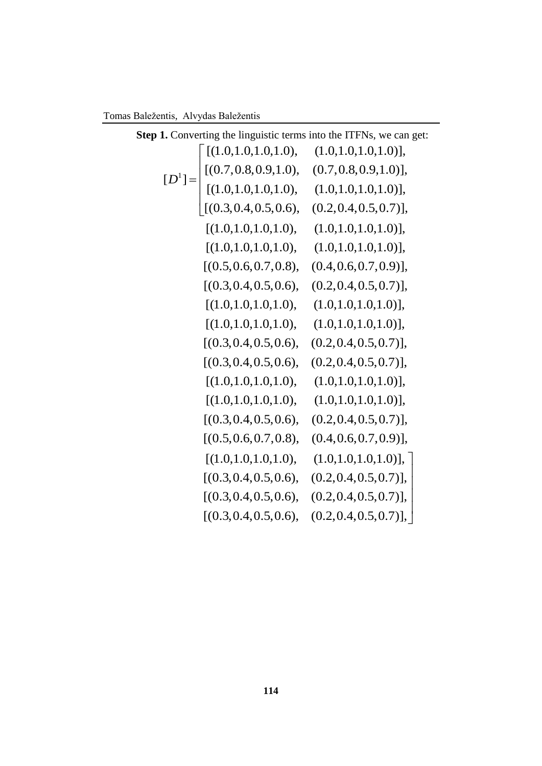Tomas Baležentis, Alvydas Baležentis

| palezentis, Alvydas Dalezentis                                      |                                                                                                                                                                                               |                           |  |  |
|---------------------------------------------------------------------|-----------------------------------------------------------------------------------------------------------------------------------------------------------------------------------------------|---------------------------|--|--|
| Step 1. Converting the linguistic terms into the ITFNs, we can get: |                                                                                                                                                                                               |                           |  |  |
|                                                                     | [(1.0, 1.0, 1.0, 1.0),                                                                                                                                                                        | $(1.0, 1.0, 1.0, 1.0)$ ], |  |  |
|                                                                     |                                                                                                                                                                                               | $(0.7, 0.8, 0.9, 1.0)$ ], |  |  |
|                                                                     |                                                                                                                                                                                               |                           |  |  |
|                                                                     | $[D^1] = \begin{bmatrix} [(0.7, 0.8, 0.9, 1.0), & (0.7, 0.8, 0.9, 1.0)], \\ [(1.0, 1.0, 1.0, 1.0), & (1.0, 1.0, 1.0, 1.0)], \\ [(0.3, 0.4, 0.5, 0.6), & (0.2, 0.4, 0.5, 0.7)], \end{bmatrix}$ | $(0.2, 0.4, 0.5, 0.7)$ ], |  |  |
|                                                                     | [(1.0, 1.0, 1.0, 1.0),                                                                                                                                                                        | $(1.0, 1.0, 1.0, 1.0)$ ], |  |  |
|                                                                     | [(1.0, 1.0, 1.0, 1.0),                                                                                                                                                                        | $(1.0, 1.0, 1.0, 1.0)$ ], |  |  |
|                                                                     | [(0.5, 0.6, 0.7, 0.8),                                                                                                                                                                        | $(0.4, 0.6, 0.7, 0.9)$ ], |  |  |
|                                                                     | [(0.3, 0.4, 0.5, 0.6),                                                                                                                                                                        | $(0.2, 0.4, 0.5, 0.7)$ ], |  |  |
|                                                                     | [(1.0, 1.0, 1.0, 1.0),                                                                                                                                                                        | $(1.0, 1.0, 1.0, 1.0)$ ], |  |  |
|                                                                     | [(1.0, 1.0, 1.0, 1.0),                                                                                                                                                                        | $(1.0, 1.0, 1.0, 1.0)$ ], |  |  |
|                                                                     | [(0.3, 0.4, 0.5, 0.6),                                                                                                                                                                        | $(0.2, 0.4, 0.5, 0.7)$ ], |  |  |
|                                                                     | [(0.3, 0.4, 0.5, 0.6),                                                                                                                                                                        | $(0.2, 0.4, 0.5, 0.7)$ ], |  |  |
|                                                                     | [(1.0, 1.0, 1.0, 1.0),                                                                                                                                                                        | $(1.0, 1.0, 1.0, 1.0)$ ], |  |  |
|                                                                     | [(1.0, 1.0, 1.0, 1.0),                                                                                                                                                                        | $(1.0, 1.0, 1.0, 1.0)$ ], |  |  |
|                                                                     | [(0.3, 0.4, 0.5, 0.6),                                                                                                                                                                        | $(0.2, 0.4, 0.5, 0.7)$ ], |  |  |
|                                                                     | [(0.5, 0.6, 0.7, 0.8),                                                                                                                                                                        | $(0.4, 0.6, 0.7, 0.9)$ ], |  |  |
|                                                                     | [(1.0, 1.0, 1.0, 1.0),                                                                                                                                                                        | $(1.0, 1.0, 1.0, 1.0)$ ], |  |  |
|                                                                     | [(0.3, 0.4, 0.5, 0.6),                                                                                                                                                                        | $(0.2, 0.4, 0.5, 0.7)$ ], |  |  |
|                                                                     | [(0.3, 0.4, 0.5, 0.6),                                                                                                                                                                        | $(0.2, 0.4, 0.5, 0.7)$ ], |  |  |
|                                                                     | [(0.3, 0.4, 0.5, 0.6),                                                                                                                                                                        | $(0.2, 0.4, 0.5, 0.7)$ ,  |  |  |
|                                                                     |                                                                                                                                                                                               |                           |  |  |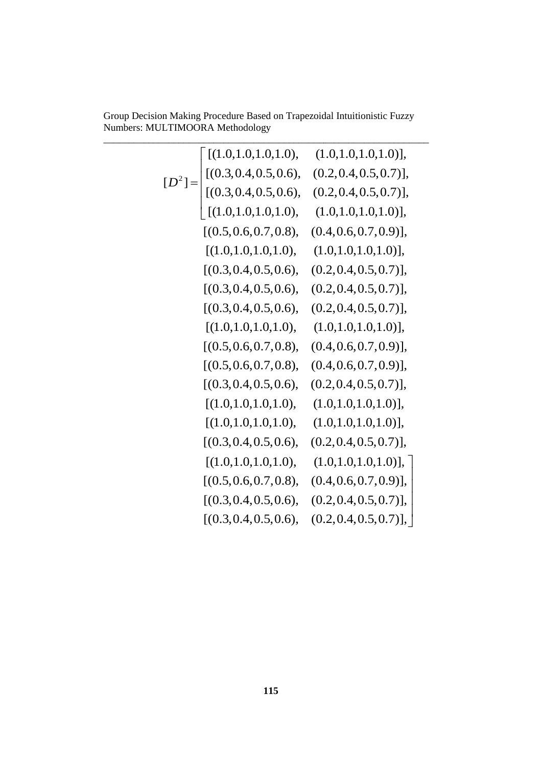Group Decision Making Procedure Based on Trapezoidal Intuitionistic Fuzzy

| $\sim$<br>Numbers: MULTIMOORA Methodology |                                                                                                                                                 |                           |  |  |
|-------------------------------------------|-------------------------------------------------------------------------------------------------------------------------------------------------|---------------------------|--|--|
|                                           | $[D^2] = \begin{bmatrix} [(1.0, 1.0, 1.0, 1.0), \\ [(0.3, 0.4, 0.5, 0.6), \\ [(0.3, 0.4, 0.5, 0.6), \\ [(1.0, 1.0, 1.0, 1.0), \\ \end{bmatrix}$ | $(1.0, 1.0, 1.0, 1.0)$ ], |  |  |
|                                           |                                                                                                                                                 | $(0.2, 0.4, 0.5, 0.7)$ ], |  |  |
|                                           |                                                                                                                                                 | $(0.2, 0.4, 0.5, 0.7)$ ], |  |  |
|                                           |                                                                                                                                                 | $(1.0, 1.0, 1.0, 1.0)$ ], |  |  |
|                                           | [(0.5, 0.6, 0.7, 0.8),                                                                                                                          | $(0.4, 0.6, 0.7, 0.9)$ ], |  |  |
|                                           | [(1.0, 1.0, 1.0, 1.0),                                                                                                                          | $(1.0, 1.0, 1.0, 1.0)$ ], |  |  |
|                                           | [(0.3, 0.4, 0.5, 0.6),                                                                                                                          | $(0.2, 0.4, 0.5, 0.7)$ ], |  |  |
|                                           | [(0.3, 0.4, 0.5, 0.6),                                                                                                                          | $(0.2, 0.4, 0.5, 0.7)$ ], |  |  |
|                                           | [(0.3, 0.4, 0.5, 0.6),                                                                                                                          | $(0.2, 0.4, 0.5, 0.7)$ ], |  |  |
|                                           | [(1.0, 1.0, 1.0, 1.0),                                                                                                                          | $(1.0, 1.0, 1.0, 1.0)$ ], |  |  |
|                                           | [(0.5, 0.6, 0.7, 0.8),                                                                                                                          | $(0.4, 0.6, 0.7, 0.9)$ ], |  |  |
|                                           | [(0.5, 0.6, 0.7, 0.8),                                                                                                                          | $(0.4, 0.6, 0.7, 0.9)$ ], |  |  |
|                                           | [(0.3, 0.4, 0.5, 0.6),                                                                                                                          | $(0.2, 0.4, 0.5, 0.7)$ ], |  |  |
|                                           | [(1.0, 1.0, 1.0, 1.0),                                                                                                                          | $(1.0, 1.0, 1.0, 1.0)$ ], |  |  |
|                                           | [(1.0, 1.0, 1.0, 1.0),                                                                                                                          | $(1.0, 1.0, 1.0, 1.0)$ ], |  |  |
|                                           | [(0.3, 0.4, 0.5, 0.6),                                                                                                                          | $(0.2, 0.4, 0.5, 0.7)$ ], |  |  |
|                                           | [(1.0, 1.0, 1.0, 1.0),                                                                                                                          | $(1.0, 1.0, 1.0, 1.0)$ ,  |  |  |
|                                           | [(0.5, 0.6, 0.7, 0.8),                                                                                                                          | $(0.4, 0.6, 0.7, 0.9)$ ], |  |  |
|                                           | [(0.3, 0.4, 0.5, 0.6),                                                                                                                          | $(0.2, 0.4, 0.5, 0.7)$ ], |  |  |
|                                           | [(0.3, 0.4, 0.5, 0.6),                                                                                                                          | $(0.2, 0.4, 0.5, 0.7)$ ], |  |  |
|                                           |                                                                                                                                                 |                           |  |  |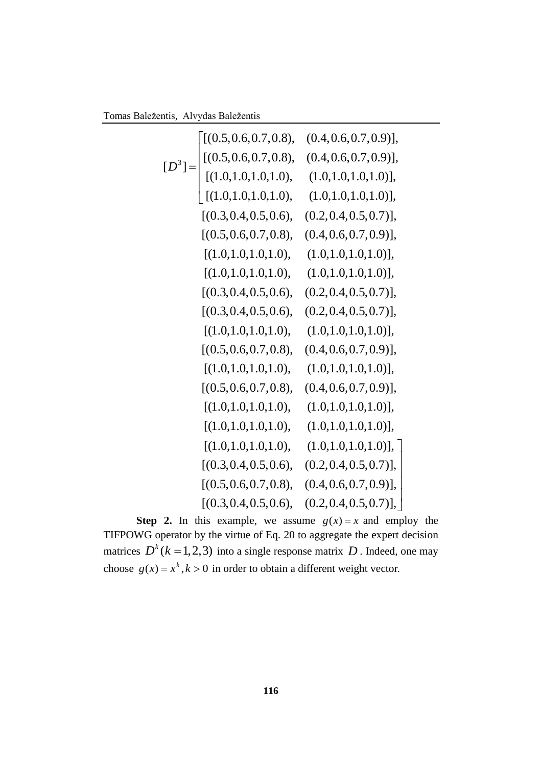Tomas Baležentis, Alvydas Baležentis

| ntis, Alvydas Baležentis |                                                                                                                    |                           |  |
|--------------------------|--------------------------------------------------------------------------------------------------------------------|---------------------------|--|
|                          | [(0.5, 0.6, 0.7, 0.8),                                                                                             | $(0.4, 0.6, 0.7, 0.9)$ ], |  |
|                          | $[D^3] = \begin{bmatrix} [(0.5, 0.6, 0.7, 0.8), \\ [(1.0, 1.0, 1.0, 1.0), \\ [(1.0, 1.0, 1.0, 1.0), \end{bmatrix}$ | $(0.4, 0.6, 0.7, 0.9)$ ], |  |
|                          |                                                                                                                    | $(1.0, 1.0, 1.0, 1.0)$ ], |  |
|                          |                                                                                                                    | $(1.0, 1.0, 1.0, 1.0)$ ], |  |
|                          | [(0.3, 0.4, 0.5, 0.6),                                                                                             | $(0.2, 0.4, 0.5, 0.7)$ ], |  |
|                          | [(0.5, 0.6, 0.7, 0.8),                                                                                             | $(0.4, 0.6, 0.7, 0.9)$ ], |  |
|                          | [(1.0, 1.0, 1.0, 1.0),                                                                                             | $(1.0, 1.0, 1.0, 1.0)$ ], |  |
|                          | [(1.0, 1.0, 1.0, 1.0),                                                                                             | $(1.0, 1.0, 1.0, 1.0)$ ], |  |
|                          | [(0.3, 0.4, 0.5, 0.6),                                                                                             | $(0.2, 0.4, 0.5, 0.7)$ ], |  |
|                          | [(0.3, 0.4, 0.5, 0.6),                                                                                             | $(0.2, 0.4, 0.5, 0.7)$ ], |  |
|                          | [(1.0, 1.0, 1.0, 1.0),                                                                                             | $(1.0, 1.0, 1.0, 1.0)$ ], |  |
|                          | [(0.5, 0.6, 0.7, 0.8),                                                                                             | $(0.4, 0.6, 0.7, 0.9)$ ], |  |
|                          | [(1.0, 1.0, 1.0, 1.0),                                                                                             | $(1.0, 1.0, 1.0, 1.0)$ ], |  |
|                          | [(0.5, 0.6, 0.7, 0.8),                                                                                             | $(0.4, 0.6, 0.7, 0.9)$ ], |  |
|                          | [(1.0, 1.0, 1.0, 1.0),                                                                                             | $(1.0, 1.0, 1.0, 1.0)$ ], |  |
|                          | [(1.0, 1.0, 1.0, 1.0),                                                                                             | $(1.0, 1.0, 1.0, 1.0)$ ], |  |
|                          | [(1.0, 1.0, 1.0, 1.0),                                                                                             | $(1.0, 1.0, 1.0, 1.0)$ ], |  |
|                          | [(0.3, 0.4, 0.5, 0.6),                                                                                             | $(0.2, 0.4, 0.5, 0.7)$ ], |  |
|                          | [(0.5, 0.6, 0.7, 0.8),                                                                                             | $(0.4, 0.6, 0.7, 0.9)$ ], |  |
|                          | [(0.3, 0.4, 0.5, 0.6),                                                                                             | $(0.2, 0.4, 0.5, 0.7)$ ], |  |
|                          |                                                                                                                    |                           |  |

**Step 2.** In this example, we assume  $g(x) = x$  and employ the TIFPOWG operator by the virtue of Eq. 20 to aggregate the expert decision matrices  $D^k$  ( $k = 1, 2, 3$ ) into a single response matrix D. Indeed, one may choose  $g(x) = x^k$ ,  $k > 0$  in order to obtain a different weight vector.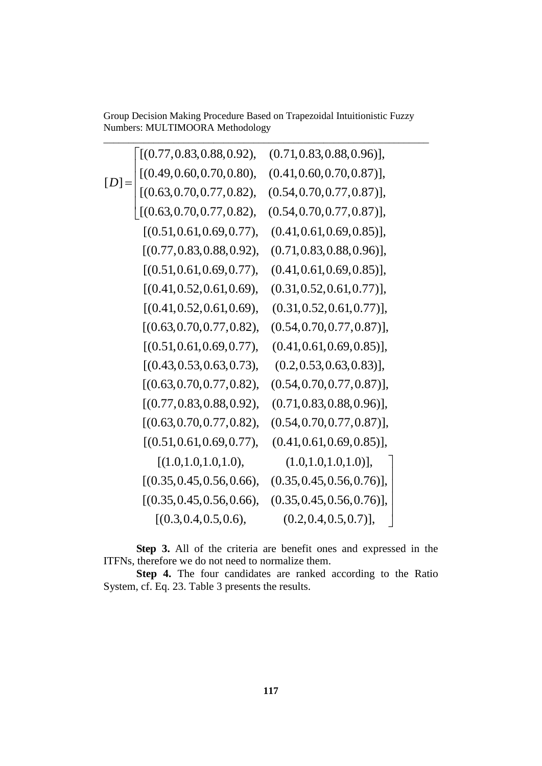| Group Decision Making Procedure Based on Trapezoidal Intuitionistic Fuzzy<br>Numbers: MULTIMOORA Methodology |                                                                   |                               |  |  |
|--------------------------------------------------------------------------------------------------------------|-------------------------------------------------------------------|-------------------------------|--|--|
|                                                                                                              | [(0.77, 0.83, 0.88, 0.92),                                        | $(0.71, 0.83, 0.88, 0.96)$ ], |  |  |
|                                                                                                              |                                                                   | $(0.41, 0.60, 0.70, 0.87)$ ], |  |  |
|                                                                                                              | $\Bigg  [(0.49, 0.60, 0.70, 0.80),$<br>[(0.63, 0.70, 0.77, 0.82), | $(0.54, 0.70, 0.77, 0.87)$ ], |  |  |
|                                                                                                              | [(0.63, 0.70, 0.77, 0.82),                                        | $(0.54, 0.70, 0.77, 0.87)$ ], |  |  |
|                                                                                                              | [(0.51, 0.61, 0.69, 0.77),                                        | $(0.41, 0.61, 0.69, 0.85)$ ], |  |  |
|                                                                                                              | [(0.77, 0.83, 0.88, 0.92),                                        | $(0.71, 0.83, 0.88, 0.96)$ ], |  |  |
|                                                                                                              | [(0.51, 0.61, 0.69, 0.77),                                        | $(0.41, 0.61, 0.69, 0.85)$ ], |  |  |
|                                                                                                              | [(0.41, 0.52, 0.61, 0.69),                                        | $(0.31, 0.52, 0.61, 0.77)$ ], |  |  |
|                                                                                                              | [(0.41, 0.52, 0.61, 0.69),                                        | $(0.31, 0.52, 0.61, 0.77)$ ], |  |  |
|                                                                                                              | [(0.63, 0.70, 0.77, 0.82),                                        | $(0.54, 0.70, 0.77, 0.87)$ ], |  |  |
|                                                                                                              | [(0.51, 0.61, 0.69, 0.77),                                        | $(0.41, 0.61, 0.69, 0.85)$ ], |  |  |
|                                                                                                              | [(0.43, 0.53, 0.63, 0.73),                                        | $(0.2, 0.53, 0.63, 0.83)$ ],  |  |  |
|                                                                                                              | [(0.63, 0.70, 0.77, 0.82),                                        | $(0.54, 0.70, 0.77, 0.87)$ ], |  |  |
|                                                                                                              | [(0.77, 0.83, 0.88, 0.92),                                        | $(0.71, 0.83, 0.88, 0.96)$ ], |  |  |
|                                                                                                              | [(0.63, 0.70, 0.77, 0.82),                                        | $(0.54, 0.70, 0.77, 0.87)$ ], |  |  |
|                                                                                                              | [(0.51, 0.61, 0.69, 0.77),                                        | $(0.41, 0.61, 0.69, 0.85)$ ], |  |  |
|                                                                                                              | [(1.0, 1.0, 1.0, 1.0),                                            | $(1.0, 1.0, 1.0, 1.0)$ ],     |  |  |
|                                                                                                              | [(0.35, 0.45, 0.56, 0.66),                                        | $(0.35, 0.45, 0.56, 0.76)$ ], |  |  |
|                                                                                                              | [(0.35, 0.45, 0.56, 0.66),                                        | $(0.35, 0.45, 0.56, 0.76)$ ,  |  |  |
|                                                                                                              | [(0.3, 0.4, 0.5, 0.6),                                            | $(0.2, 0.4, 0.5, 0.7)$ ],     |  |  |
|                                                                                                              |                                                                   |                               |  |  |

**Step 3.** All of the criteria are benefit ones and expressed in the ITFNs, therefore we do not need to normalize them.

**Step 4.** The four candidates are ranked according to the Ratio System, cf. Eq. 23. Table 3 presents the results.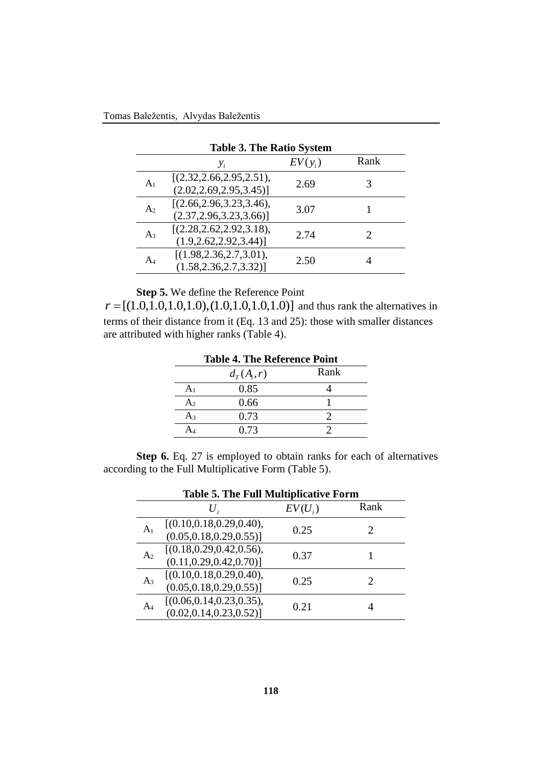| <b>Table 3. The Ratio System</b> |                                                        |           |      |  |
|----------------------------------|--------------------------------------------------------|-----------|------|--|
|                                  | $y_i$                                                  | $EV(y_i)$ | Rank |  |
| A <sub>1</sub>                   | [(2.32, 2.66, 2.95, 2.51),<br>(2.02, 2.69, 2.95, 3.45) | 2.69      |      |  |
| A <sub>2</sub>                   | [(2.66, 2.96, 3.23, 3.46),<br>(2.37, 2.96, 3.23, 3.66) | 3.07      |      |  |
| $A_3$                            | [(2.28, 2.62, 2.92, 3.18),<br>(1.9, 2.62, 2.92, 3.44)  | 2.74      | 2    |  |
| AΔ                               | [(1.98, 2.36, 2.7, 3.01),<br>(1.58, 2.36, 2.7, 3.32)   | 2.50      |      |  |

**Step 5.** We define the Reference Point

 $r = [(1.0, 1.0, 1.0, 1.0), (1.0, 1.0, 1.0, 1.0)]$  and thus rank the alternatives in terms of their distance from it (Eq. 13 and 25): those with smaller distances are attributed with higher ranks (Table 4).

| <b>Table 4. The Reference Point</b> |              |      |  |
|-------------------------------------|--------------|------|--|
|                                     | $d_r(A_i,r)$ | Rank |  |
| A <sub>1</sub>                      | 0.85         |      |  |
| A <sub>2</sub>                      | 0.66         |      |  |
| $A_3$                               | 0.73         |      |  |
|                                     | 0.73         |      |  |

**Step 6.** Eq. 27 is employed to obtain ranks for each of alternatives according to the Full Multiplicative Form (Table 5).

| <b>Table 5. The Full Multiplicative Form</b> |                                                         |           |                       |  |
|----------------------------------------------|---------------------------------------------------------|-----------|-----------------------|--|
|                                              |                                                         | $EV(U_i)$ | Rank                  |  |
| A <sub>1</sub>                               | [(0.10, 0.18, 0.29, 0.40),<br>(0.05, 0.18, 0.29, 0.55)] | 0.25      | $\mathcal{D}_{\cdot}$ |  |
| A <sub>2</sub>                               | [(0.18, 0.29, 0.42, 0.56),<br>(0.11, 0.29, 0.42, 0.70)  | 0.37      |                       |  |
| $A_3$                                        | [(0.10, 0.18, 0.29, 0.40),<br>(0.05, 0.18, 0.29, 0.55)] | 0.25      |                       |  |
| A4                                           | [(0.06, 0.14, 0.23, 0.35),<br>(0.02, 0.14, 0.23, 0.52)] | 0.21      |                       |  |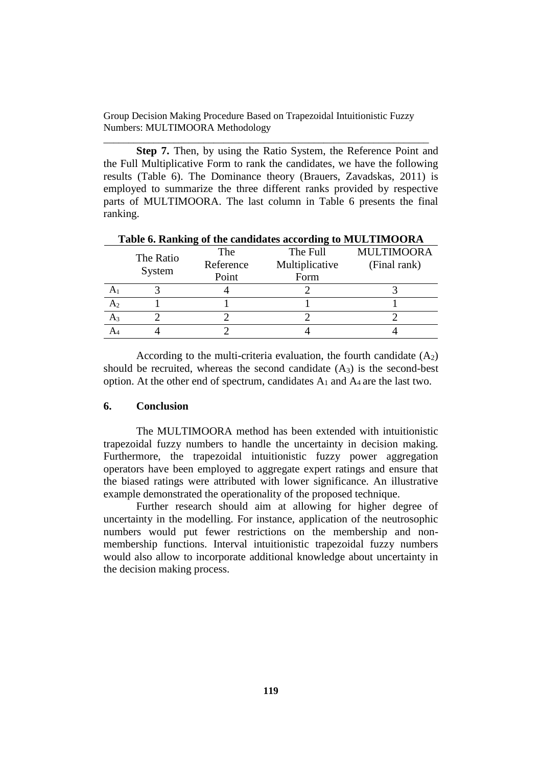\_\_\_\_\_\_\_\_\_\_\_\_\_\_\_\_\_\_\_\_\_\_\_\_\_\_\_\_\_\_\_\_\_\_\_\_\_\_\_\_\_\_\_\_\_\_\_\_\_\_\_\_\_\_\_\_\_\_\_\_\_\_\_\_\_

**Step 7.** Then, by using the Ratio System, the Reference Point and the Full Multiplicative Form to rank the candidates, we have the following results (Table 6). The Dominance theory (Brauers, Zavadskas, 2011) is employed to summarize the three different ranks provided by respective parts of MULTIMOORA. The last column in Table 6 presents the final ranking.

|                | <b>Table 0. Kalikulg 01 the candidates according to MOLTIMOOKA</b> |           |                |                   |  |  |
|----------------|--------------------------------------------------------------------|-----------|----------------|-------------------|--|--|
|                | The Ratio<br>System                                                | The       | The Full       | <b>MULTIMOORA</b> |  |  |
|                |                                                                    | Reference | Multiplicative | (Final rank)      |  |  |
|                |                                                                    | Point     | Form           |                   |  |  |
|                |                                                                    |           |                |                   |  |  |
| A <sub>2</sub> |                                                                    |           |                |                   |  |  |
| $A_3$          |                                                                    |           |                |                   |  |  |
|                |                                                                    |           |                |                   |  |  |

**Table 6. Ranking of the candidates according to MULTIMOORA**

According to the multi-criteria evaluation, the fourth candidate  $(A_2)$ should be recruited, whereas the second candidate  $(A_3)$  is the second-best option. At the other end of spectrum, candidates  $A_1$  and  $A_4$  are the last two.

# **6. Conclusion**

The MULTIMOORA method has been extended with intuitionistic trapezoidal fuzzy numbers to handle the uncertainty in decision making. Furthermore, the trapezoidal intuitionistic fuzzy power aggregation operators have been employed to aggregate expert ratings and ensure that the biased ratings were attributed with lower significance. An illustrative example demonstrated the operationality of the proposed technique.

Further research should aim at allowing for higher degree of uncertainty in the modelling. For instance, application of the neutrosophic numbers would put fewer restrictions on the membership and nonmembership functions. Interval intuitionistic trapezoidal fuzzy numbers would also allow to incorporate additional knowledge about uncertainty in the decision making process.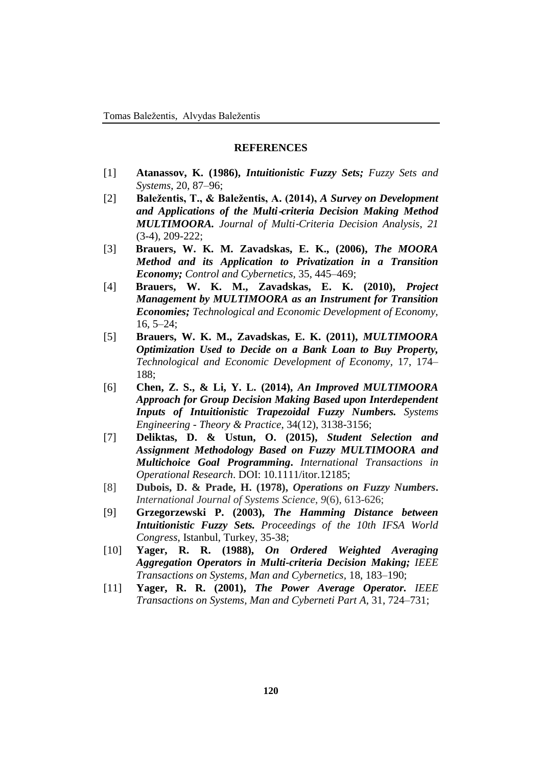## **REFERENCES**

- [1] **Atanassov, K. (1986),** *Intuitionistic Fuzzy Sets; Fuzzy Sets and Systems*, 20, 87–96;
- [2] **Baležentis, T., & Baležentis, A. (2014),** *A Survey on Development and Applications of the Multi*‐*criteria Decision Making Method MULTIMOORA. Journal of Multi*‐*Criteria Decision Analysis*, *21* (3-4), 209-222;
- [3] **Brauers, W. K. M. Zavadskas, E. K., (2006),** *The MOORA Method and its Application to Privatization in a Transition Economy; Control and Cybernetics,* 35, 445–469;
- [4] **Brauers, W. K. M., Zavadskas, E. K. (2010),** *Project Management by MULTIMOORA as an Instrument for Transition Economies; Technological and Economic Development of Economy,* 16, 5–24;
- [5] **Brauers, W. K. M., Zavadskas, E. K. (2011),** *MULTIMOORA Optimization Used to Decide on a Bank Loan to Buy Property, Technological and Economic Development of Economy,* 17, 174– 188;
- [6] **Chen, Z. S., & Li, Y. L. (2014),** *An Improved MULTIMOORA Approach for Group Decision Making Based upon Interdependent Inputs of Intuitionistic Trapezoidal Fuzzy Numbers. Systems Engineering - Theory & Practice*, 34(12), 3138-3156;
- [7] **Deliktas, D. & Ustun, O. (2015),** *Student Selection and Assignment Methodology Based on Fuzzy MULTIMOORA and Multichoice Goal Programming***.** *International Transactions in Operational Research*. DOI: 10.1111/itor.12185;
- [8] **Dubois, D. & Prade, H. (1978),** *Operations on Fuzzy Numbers***.** *International Journal of Systems Science*, *9*(6), 613-626;
- [9] **Grzegorzewski P. (2003),** *The Hamming Distance between Intuitionistic Fuzzy Sets. Proceedings of the 10th IFSA World Congress*, Istanbul, Turkey, 35-38;
- [10] **Yager, R. R. (1988),** *On Ordered Weighted Averaging Aggregation Operators in Multi-criteria Decision Making; IEEE Transactions on Systems, Man and Cybernetics,* 18, 183–190;
- [11] **Yager, R. R. (2001),** *The Power Average Operator. IEEE Transactions on Systems, Man and Cyberneti Part A,* 31, 724–731;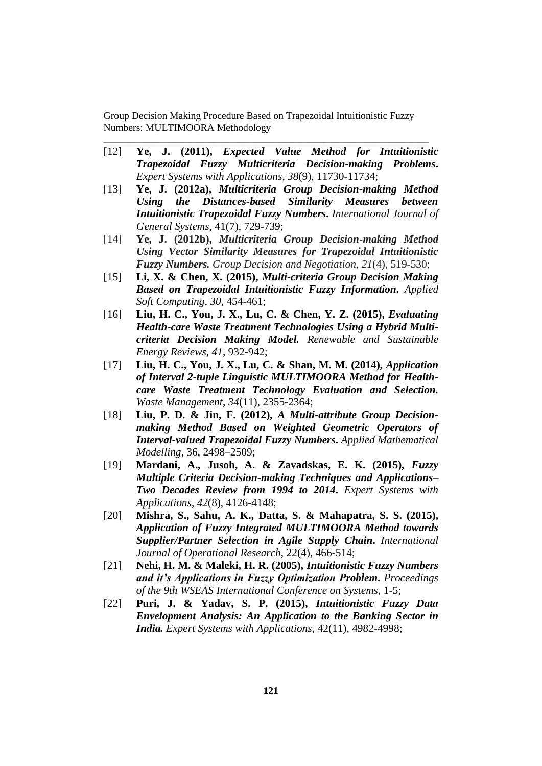[12] **Ye, J. (2011),** *Expected Value Method for Intuitionistic Trapezoidal Fuzzy Multicriteria Decision-making Problems***.** *Expert Systems with Applications*, *38*(9), 11730-11734;

\_\_\_\_\_\_\_\_\_\_\_\_\_\_\_\_\_\_\_\_\_\_\_\_\_\_\_\_\_\_\_\_\_\_\_\_\_\_\_\_\_\_\_\_\_\_\_\_\_\_\_\_\_\_\_\_\_\_\_\_\_\_\_\_\_

- [13] **Ye, J. (2012a),** *Multicriteria Group Decision-making Method Using the Distances-based Similarity Measures between Intuitionistic Trapezoidal Fuzzy Numbers***.** *International Journal of General Systems*, 41(7), 729-739;
- [14] **Ye, J. (2012b),** *Multicriteria Group Decision-making Method Using Vector Similarity Measures for Trapezoidal Intuitionistic Fuzzy Numbers. Group Decision and Negotiation*, *21*(4), 519-530;
- [15] **Li, X. & Chen, X. (2015),** *Multi-criteria Group Decision Making Based on Trapezoidal Intuitionistic Fuzzy Information***.** *Applied Soft Computing*, *30*, 454-461;
- [16] **Liu, H. C., You, J. X., Lu, C. & Chen, Y. Z. (2015),** *Evaluating Health-care Waste Treatment Technologies Using a Hybrid Multicriteria Decision Making Model. Renewable and Sustainable Energy Reviews*, *41*, 932-942;
- [17] **Liu, H. C., You, J. X., Lu, C. & Shan, M. M. (2014),** *Application of Interval 2-tuple Linguistic MULTIMOORA Method for Healthcare Waste Treatment Technology Evaluation and Selection. Waste Management*, *34*(11), 2355-2364;
- [18] **Liu, P. D. & Jin, F. (2012),** *A Multi-attribute Group Decisionmaking Method Based on Weighted Geometric Operators of Interval-valued Trapezoidal Fuzzy Numbers***.** *Applied Mathematical Modelling*, 36, 2498–2509;
- [19] **Mardani, A., Jusoh, A. & Zavadskas, E. K. (2015),** *Fuzzy Multiple Criteria Decision-making Techniques and Applications– Two Decades Review from 1994 to 2014***.** *Expert Systems with Applications*, *42*(8), 4126-4148;
- [20] **Mishra, S., Sahu, A. K., Datta, S. & Mahapatra, S. S. (2015),**  *Application of Fuzzy Integrated MULTIMOORA Method towards Supplier/Partner Selection in Agile Supply Chain***.** *International Journal of Operational Research*, 22(4), 466-514;
- [21] **Nehi, H. M. & Maleki, H. R. (2005),** *Intuitionistic Fuzzy Numbers and it's Applications in Fuzzy Optimization Problem***.** *Proceedings of the 9th WSEAS International Conference on Systems,* 1-5;
- [22] **Puri, J. & Yadav, S. P. (2015),** *Intuitionistic Fuzzy Data Envelopment Analysis: An Application to the Banking Sector in India. Expert Systems with Applications*, 42(11), 4982-4998;